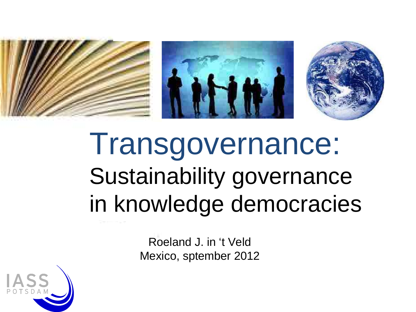





# Transgovernance: Sustainability governance in knowledge democracies

Roeland J. in 't VeldMexico, sptember 2012

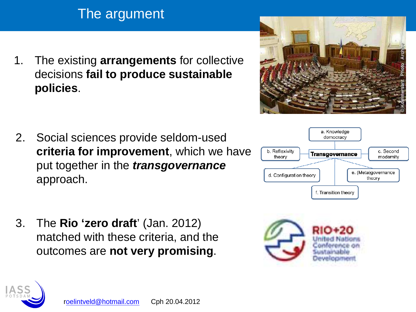### The argument

1. The existing **arrangements** for collective decisions **fail to produce sustainable policies**.

- 2. Social sciences provide seldom-used **criteria for improvement**, which we have put together in the **transgovernance**approach.
- 3. The **Rio 'zero draft**' (Jan. 2012) matched with these criteria, and the outcomes are **not very promising**.







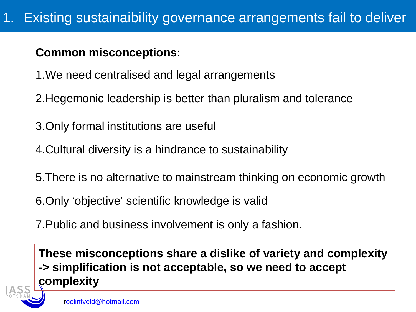#### **Common misconceptions:**

- 1.We need centralised and legal arrangements
- 2.Hegemonic leadership is better than pluralism and tolerance
- 3.Only formal institutions are useful
- 4.Cultural diversity is a hindrance to sustainability
- 5.There is no alternative to mainstream thinking on economic growth
- 6.Only 'objective' scientific knowledge is valid
- 7.Public and business involvement is only a fashion.

**These misconceptions share a dislike of variety and complexity-> simplification is not acceptable, so we need to accept complexity**

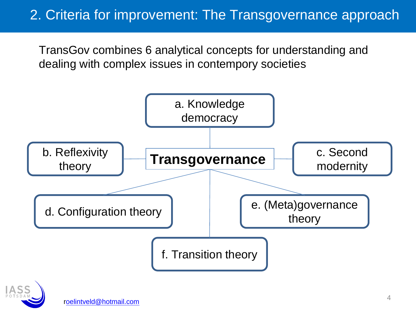### 2. Criteria for improvement: The Transgovernance approach

TransGov combines 6 analytical concepts for understanding and dealing with complex issues in contempory societies



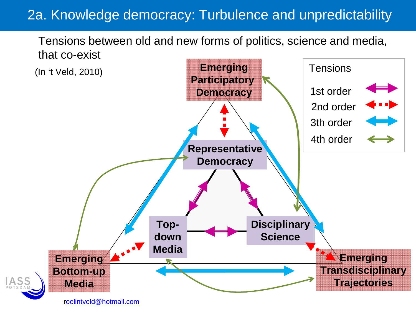### 2a. Knowledge democracy: Turbulence and unpredictability

Tensions between old and new forms of politics, science and media,that co-exist

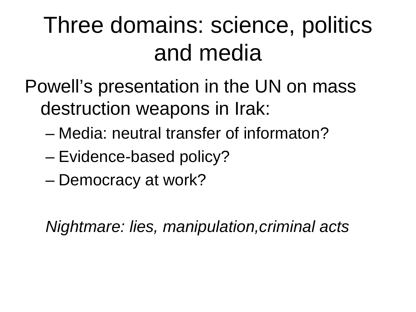### Three domains: science, politics and media

Powell's presentation in the UN on mass destruction weapons in Irak:

- –Media: neutral transfer of informaton?
- –Evidence-based policy?
- Democracy at work?

Nightmare: lies, manipulation,criminal acts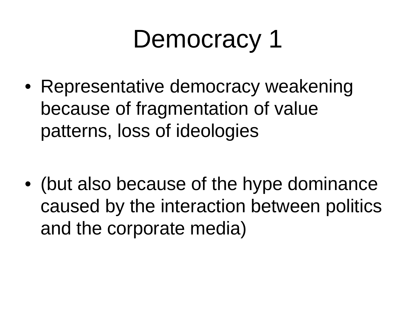# Democracy 1

• Representative democracy weakening because of fragmentation of value patterns, loss of ideologies

• (but also because of the hype dominance caused by the interaction between politics and the corporate media)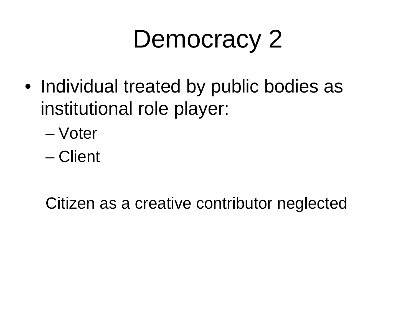# Democracy 2

- Individual treated by public bodies as institutional role player:
	- –Voter
	- –**Client**

Citizen as a creative contributor neglected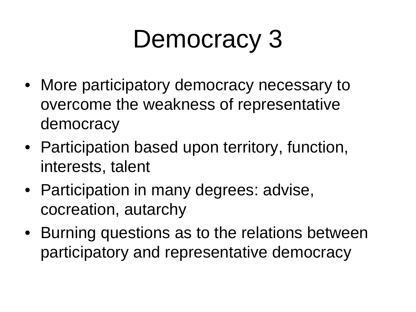# Democracy 3

- More participatory democracy necessary to overcome the weakness of representative democracy
- Participation based upon territory, function, interests, talent
- Participation in many degrees: advise, cocreation, autarchy
- Burning questions as to the relations between participatory and representative democracy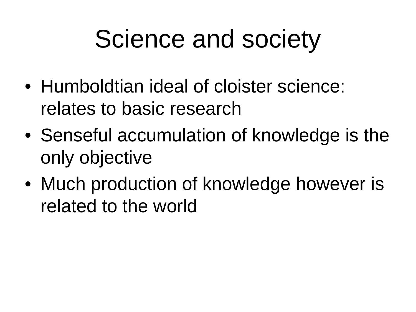# Science and society

- Humboldtian ideal of cloister science: relates to basic research
- Senseful accumulation of knowledge is the only objective
- Much production of knowledge however is related to the world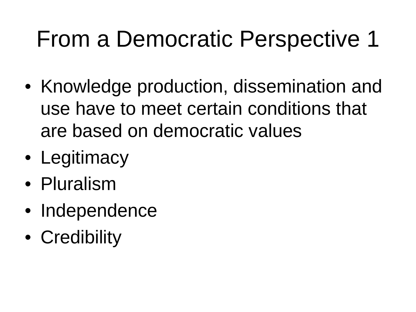### From a Democratic Perspective 1

- Knowledge production, dissemination and use have to meet certain conditions that are based on democratic values
- Legitimacy
- Pluralism
- Independence
- Credibility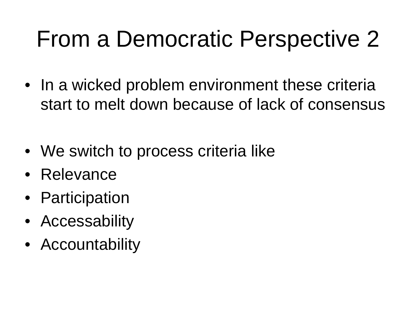### From a Democratic Perspective 2

- In a wicked problem environment these criteria start to melt down because of lack of consensus
- We switch to process criteria like
- Relevance
- Participation
- Accessability
- Accountability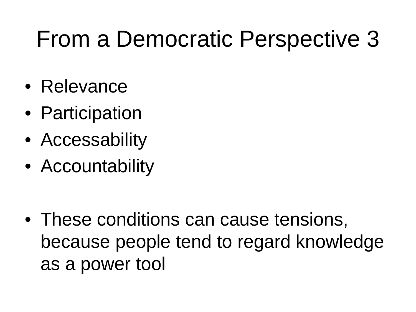### From a Democratic Perspective 3

- Relevance
- Participation
- Accessability
- Accountability

• These conditions can cause tensions, because people tend to regard knowledge as a power tool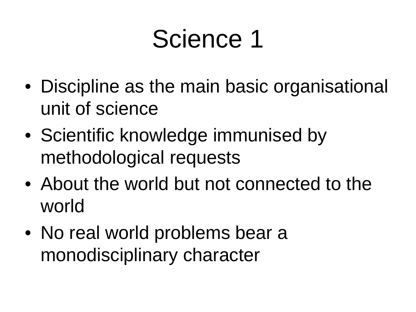## Science 1

- Discipline as the main basic organisational unit of science
- Scientific knowledge immunised by methodological requests
- About the world but not connected to the world
- No real world problems bear a monodisciplinary character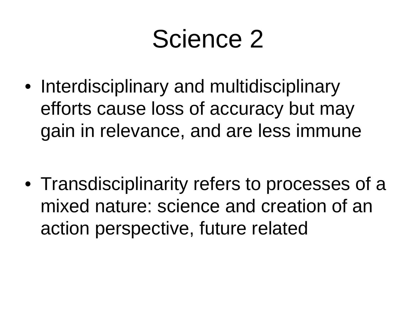### Science 2

- Interdisciplinary and multidisciplinary efforts cause loss of accuracy but may gain in relevance, and are less immune
- Transdisciplinarity refers to processes of a mixed nature: science and creation of an action perspective, future related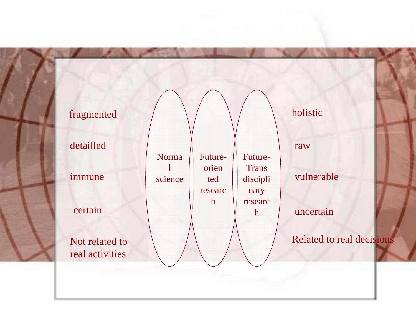#### Normal scienceFutureorien ted researchFuture-**Trans**  disciplinary researchfragmentedd  $\bigwedge$   $\bigwedge$   $\bigwedge$   $\bigwedge$   $\bigwedge$  holistic detailledimmunecertainNot related to real activitiesrawvulnerableuncertainRelated to real decisions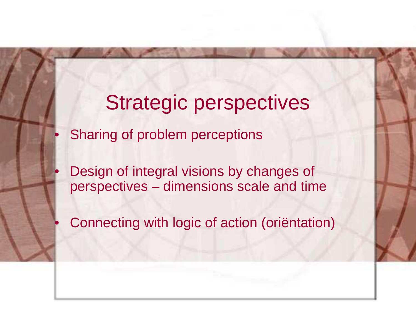### Strategic perspectivesSharing of problem perceptions

•

•

•

 Design of integral visions by changes of perspectives – dimensions scale and time

Connecting with logic of action (oriëntation)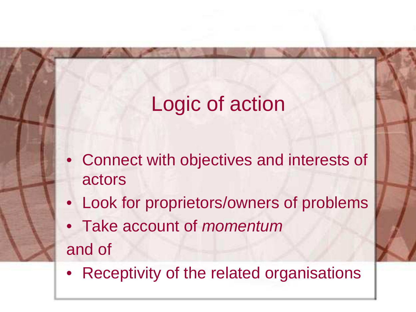### Logic of action

Handelingslogica

- Connect with objectives and interests of actors
- Look for proprietors/owners of problems
- Take account of momentum and of
- $\bullet$ Receptivity of the related organisations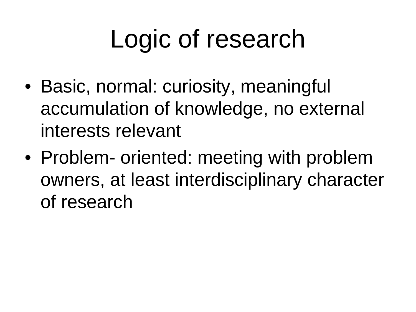# Logic of research

- Basic, normal: curiosity, meaningful accumulation of knowledge, no external interests relevant
- Problem- oriented: meeting with problem owners, at least interdisciplinary character of research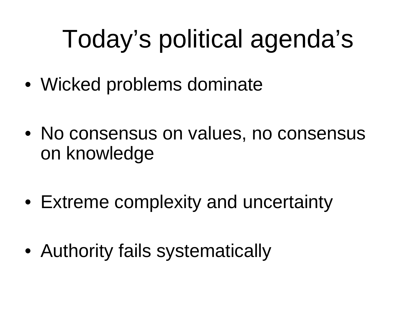# Today's political agenda's

- Wicked problems dominate
- No consensus on values, no consensus on knowledge
- Extreme complexity and uncertainty
- Authority fails systematically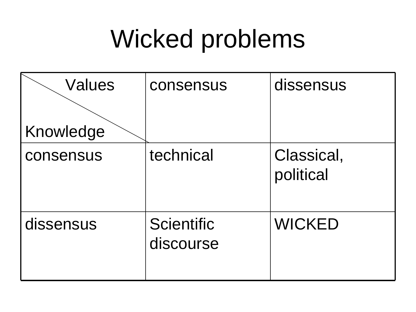## Wicked problems

| <b>Values</b> | consensus                      | dissensus               |
|---------------|--------------------------------|-------------------------|
|               |                                |                         |
| Knowledge     |                                |                         |
| consensus     | technical                      | Classical,<br>political |
| dissensus     | <b>Scientific</b><br>discourse | <b>WICKED</b>           |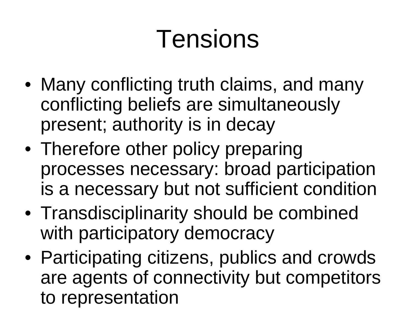# Tensions

- Many conflicting truth claims, and many conflicting beliefs are simultaneously present; authority is in decay
- Therefore other policy preparing processes necessary: broad participation is a necessary but not sufficient condition
- Transdisciplinarity should be combined with participatory democracy
- Participating citizens, publics and crowds are agents of connectivity but competitors to representation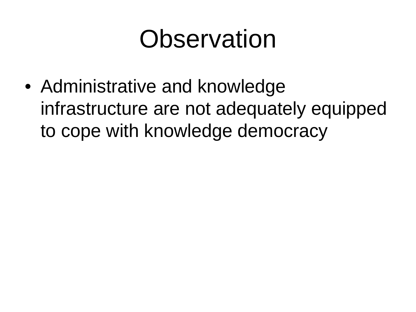## **Observation**

• Administrative and knowledge infrastructure are not adequately equipped to cope with knowledge democracy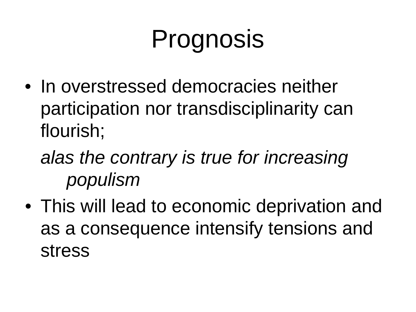# Prognosis

- In overstressed democracies neither participation nor transdisciplinarity can flourish;
	- alas the contrary is true for increasing populism
- This will lead to economic deprivation and as a consequence intensify tensions and stress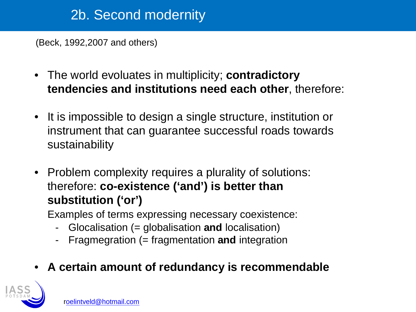### 2b. Second modernity

(Beck, 1992,2007 and others)

- $\bullet$  The world evoluates in multiplicity; **contradictory tendencies and institutions need each other**, therefore:
- $\bullet$  It is impossible to design a single structure, institution or instrument that can guarantee successful roads towards sustainability
- Problem complexity requires a plurality of solutions: therefore: **co-existence ('and') is better than substitution ('or')**

Examples of terms expressing necessary coexistence:

- -Glocalisation (= globalisation **and** localisation)
- -Fragmegration (= fragmentation **and** integration
- •**A certain amount of redundancy is recommendable**

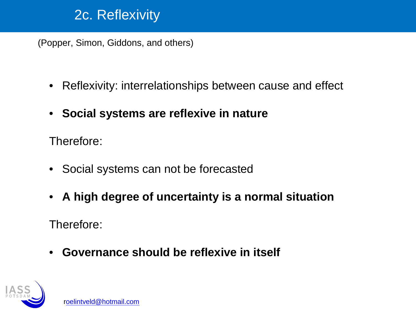#### 2c. Reflexivity

(Popper, Simon, Giddons, and others)

- Reflexivity: interrelationships between cause and effect
- •**Social systems are reflexive in nature**

Therefore:

- Social systems can not be forecasted
- **A high degree of uncertainty is a normal situation**

Therefore:

• **Governance should be reflexive in itself**

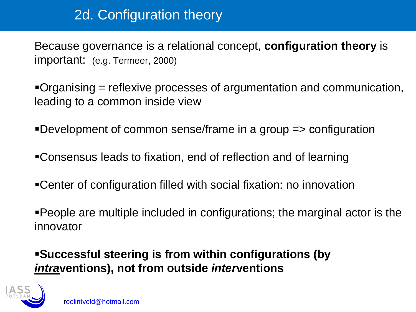### 2d. Configuration theory

Because governance is a relational concept, **configuration theory** isimportant: (e.g. Termeer, 2000)

Organising = reflexive processes of argumentation and communication, leading to a common inside view

Development of common sense/frame in a group => configuration

- Consensus leads to fixation, end of reflection and of learning
- Center of configuration filled with social fixation: no innovation

People are multiple included in configurations; the marginal actor is the innovator

**Successful steering is from within configurations (by intraventions), not from outside interventions**

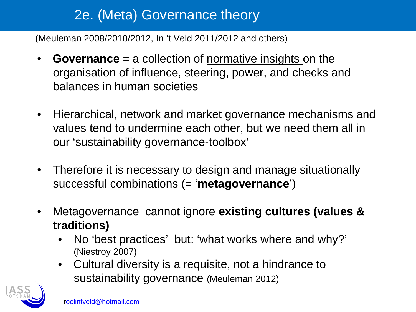### 2e. (Meta) Governance theory

(Meuleman 2008/2010/2012, In 't Veld 2011/2012 and others)

- •**Governance** = a collection of <u>normative insights</u> on the organisation of influence, steering, power, and checks and balances in human societies
- Hierarchical, network and market governance mechanisms and values tend to *undermine* each other, but we need them all in our 'sustainability governance-toolbox'
- $\bullet$  Therefore it is necessary to design and manage situationally successful combinations (= '**metagovernance**')
- $\bullet$  Metagovernance cannot ignore **existing cultures (values & traditions)** 
	- • No 'best practices' but: 'what works where and why?' (Niestroy 2007)
	- • Cultural diversity is a requisite, not a hindrance to sustainability governance (Meuleman 2012)

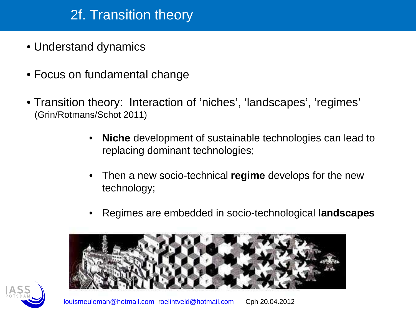### 2f. Transition theory

- Understand dynamics
- Focus on fundamental change
- Transition theory: Interaction of 'niches', 'landscapes', 'regimes' (Grin/Rotmans/Schot 2011)
	- • **Niche** development of sustainable technologies can lead to replacing dominant technologies;
	- • Then a new socio-technical **regime** develops for the new technology;
	- •Regimes are embedded in socio-technological **landscapes**



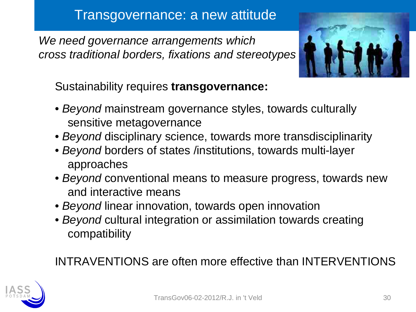#### Transgovernance: a new attitude

We need governance arrangements which cross traditional borders, fixations and stereotypes



Sustainability requires **transgovernance:**

- *Beyond* mainstream governance styles, towards culturally sensitive metagovernance
- Beyond disciplinary science, towards more transdisciplinarity
- Beyond borders of states /institutions, towards multi-laye rapproaches
- $\bullet$  *Beyond* conventional means to measure progress, towards new and interactive means
- Beyond linear innovation, towards open innovation
- $\bullet$  *Beyond* cultural integration or assimilation towards creating compatibility

#### INTRAVENTIONS are often more effective than INTERVENTIONS

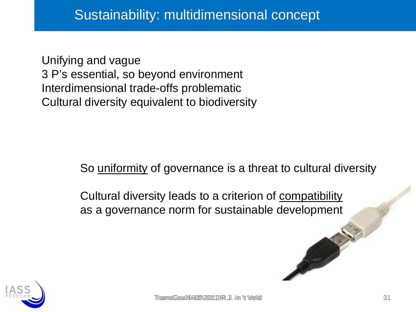Unifying and vague 3 P's essential, so beyond environmentInterdimensional trade-offs problematicCultural diversity equivalent to biodiversity

So <u>uniformity</u> of governance is a threat to cultural diversity

Cultural diversity leads to a criterion of compatibilityas a governance norm for sustainable development

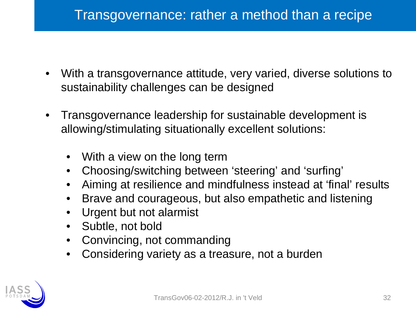- $\bullet$  With a transgovernance attitude, very varied, diverse solutions to sustainability challenges can be designed
- $\bullet$  Transgovernance leadership for sustainable development is allowing/stimulating situationally excellent solutions:
	- •With a view on the long term
	- Choosing/switching between 'steering' and 'surfing'  $\bullet$
	- •Aiming at resilience and mindfulness instead at 'final' results
	- •Brave and courageous, but also empathetic and listening
	- •Urgent but not alarmist
	- •Subtle, not bold
	- Convincing, not commanding $\bullet$
	- Considering variety as a treasure, not a burden $\bullet$

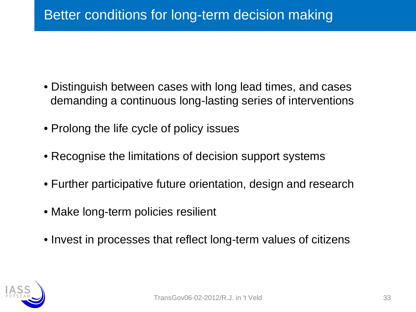- Distinguish between cases with long lead times, and casesdemanding a continuous long-lasting series of interventions
- Prolong the life cycle of policy issues
- Recognise the limitations of decision support systems
- Further participative future orientation, design and research
- Make long-term policies resilient
- Invest in processes that reflect long-term values of citizens

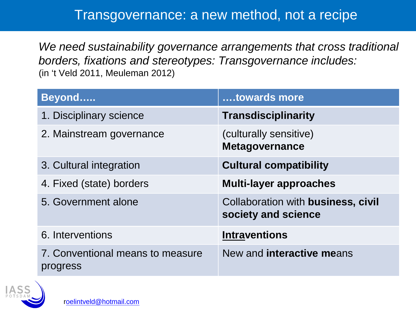#### Transgovernance: a new method, not a recipe

We need sustainability governance arrangements that cross traditional borders, fixations and stereotypes: Transgovernance includes:(in 't Veld 2011, Meuleman 2012)

| Beyond                                       | towards more                                              |
|----------------------------------------------|-----------------------------------------------------------|
| 1. Disciplinary science                      | <b>Transdisciplinarity</b>                                |
| 2. Mainstream governance                     | (culturally sensitive)<br><b>Metagovernance</b>           |
| 3. Cultural integration                      | <b>Cultural compatibility</b>                             |
| 4. Fixed (state) borders                     | <b>Multi-layer approaches</b>                             |
| 5. Government alone                          | Collaboration with business, civil<br>society and science |
| 6. Interventions                             | <b>Intraventions</b>                                      |
| 7. Conventional means to measure<br>progress | New and interactive means                                 |

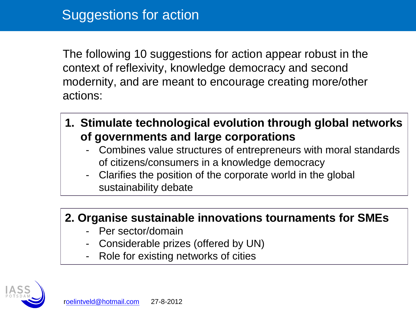The following 10 suggestions for action appear robust in the context of reflexivity, knowledge democracy and second modernity, and are meant to encourage creating more/other actions:

- **1. Stimulate technological evolution through global networks of governments and large corporations**
	- Combines value structures of entrepreneurs with moral standards of citizens/consumers in a knowledge democracy
	- Clarifies the position of the corporate world in the global sustainability debate

#### **2. Organise sustainable innovations tournaments for SMEs**

- Per sector/domain
- Considerable prizes (offered by UN)
- Role for existing networks of cities

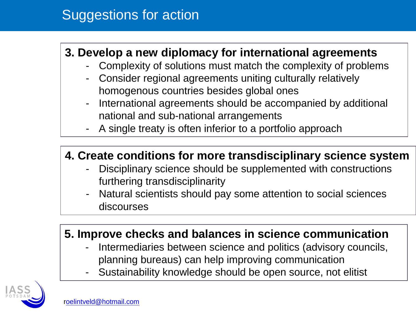### Suggestions for action

#### **3. Develop a new diplomacy for international agreements**

- Complexity of solutions must match the complexity of problems-
- Consider regional agreements uniting culturally relatively homogenous countries besides global ones
- International agreements should be accompanied by additional national and sub-national arrangements
- A single treaty is often inferior to a portfolio approach

#### **4. Create conditions for more transdisciplinary science system**

- Disciplinary science should be supplemented with constructions furthering transdisciplinarity
- Natural scientists should pay some attention to social sciences discourses

#### **5. Improve checks and balances in science communication**

- Intermediaries between science and politics (advisory councils, planning bureaus) can help improving communication
- Sustainability knowledge should be open source, not elitist

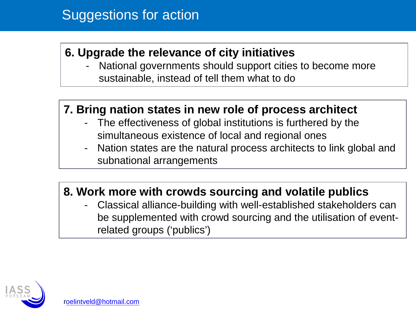#### Suggestions for action

#### **6. Upgrade the relevance of city initiatives**

 National governments should support cities to become more sustainable, instead of tell them what to do

#### **7. Bring nation states in new role of process architect**

- - The effectiveness of global institutions is furthered by the simultaneous existence of local and regional ones
- Nation states are the natural process architects to link global and subnational arrangements

#### **8. Work more with crowds sourcing and volatile publics**

 Classical alliance-building with well-established stakeholders can be supplemented with crowd sourcing and the utilisation of eventrelated groups ('publics')

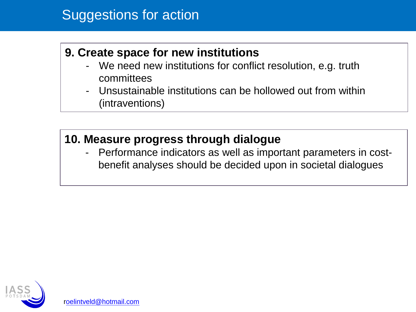#### Suggestions for action

#### **9. Create space for new institutions**

- We need new institutions for conflict resolution, e.g. truth committees
- Unsustainable institutions can be hollowed out from within (intraventions)

#### **10. Measure progress through dialogue**

 Performance indicators as well as important parameters in costbenefit analyses should be decided upon in societal dialogues

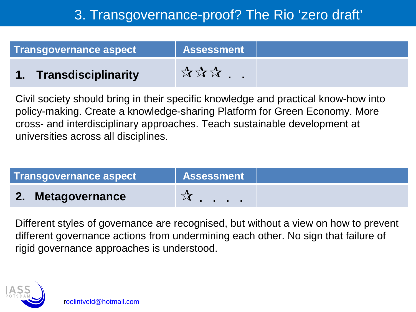### 3. Transgovernance-proof? The Rio 'zero draft'

| <b>Transgovernance aspect</b> | <b>Assessment</b> |  |
|-------------------------------|-------------------|--|
| 1. Transdisciplinarity        | 大文文               |  |

Civil society should bring in their specific knowledge and practical know-how into policy-making. Create a knowledge-sharing Platform for Green Economy. More cross- and interdisciplinary approaches. Teach sustainable development at universities across all disciplines.

| Transgovernance aspect | <b>Assessment</b>             |  |
|------------------------|-------------------------------|--|
| 2. Metagovernance      | $\mathbf{r}$ and $\mathbf{r}$ |  |
|                        |                               |  |

Different styles of governance are recognised, but without a view on how to prevent different governance actions from undermining each other. No sign that failure of rigid governance approaches is understood.

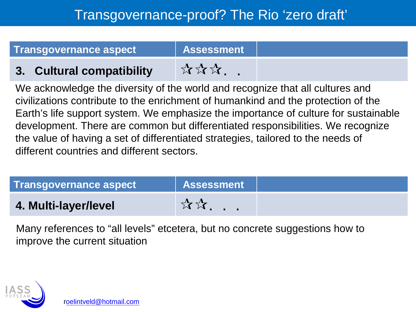| <b>Transgovernance aspect</b> | Assessment |  |
|-------------------------------|------------|--|
| 3. Cultural compatibility     | ****       |  |

We acknowledge the diversity of the world and recognize that all cultures and civilizations contribute to the enrichment of humankind and the protection of the Earth's life support system. We emphasize the importance of culture for sustainable development. There are common but differentiated responsibilities. We recognize the value of having a set of differentiated strategies, tailored to the needs of different countries and different sectors.

| <b>Transgovernance aspect</b> | <b>Assessment</b> |  |
|-------------------------------|-------------------|--|
| 4. Multi-layer/level          | <b>☆☆</b>         |  |

Many references to "all levels" etcetera, but no concrete suggestions how to improve the current situation

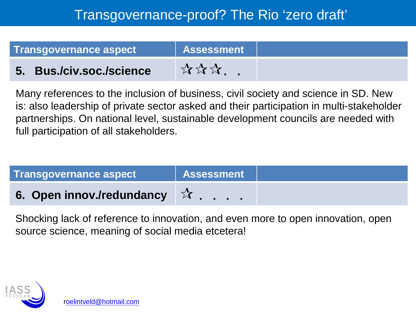#### Transgovernance-proof? The Rio 'zero draft'

| <b>Transgovernance aspect</b> | <b>Assessment</b> |  |
|-------------------------------|-------------------|--|
| 5. Bus./civ.soc./science      | ☆☆☆.              |  |

Many references to the inclusion of business, civil society and science in SD. New is: also leadership of private sector asked and their participation in multi-stakeholder partnerships. On national level, sustainable development councils are needed with full participation of all stakeholders.

| <b>Transgovernance aspect</b>       | <b>Assessment</b> |  |
|-------------------------------------|-------------------|--|
| 6. Open innov./redundancy $\vec{X}$ |                   |  |
|                                     |                   |  |

Shocking lack of reference to innovation, and even more to open innovation, open source science, meaning of social media etcetera!

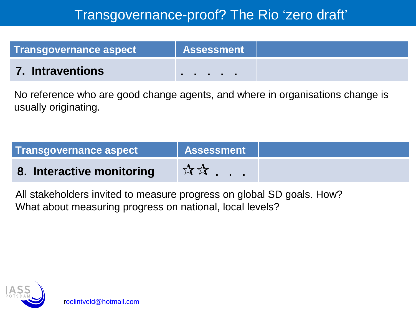### Transgovernance-proof? The Rio 'zero draft'

| <b>Transgovernance aspect</b> | <b>Assessment</b> |  |
|-------------------------------|-------------------|--|
| <b>7. Intraventions</b>       | .                 |  |

No reference who are good change agents, and where in organisations change is usually originating.

| <b>Transgovernance aspect</b> | <b>Assessment</b>          |  |
|-------------------------------|----------------------------|--|
| 8. Interactive monitoring     | $\forall x \in \mathbb{R}$ |  |
|                               |                            |  |

All stakeholders invited to measure progress on global SD goals. How?What about measuring progress on national, local levels?



roelintveld@hotmail.com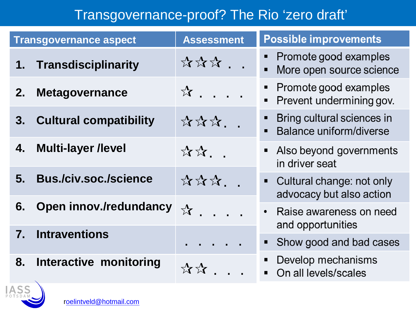### Transgovernance-proof? The Rio 'zero draft'

|                | <b>Transgovernance aspect</b> | <b>Assessment</b>                    | <b>Possible improvements</b>                                                              |
|----------------|-------------------------------|--------------------------------------|-------------------------------------------------------------------------------------------|
| 1.             | Transdisciplinarity           | <b>☆☆☆</b>                           | Promote good examples<br>More open source science<br>$\blacksquare$                       |
| 2.             | <b>Metagovernance</b>         | $\mathbf{\hat{x}}$                   | Promote good examples<br>$\blacksquare$<br>Prevent undermining gov.<br>$\blacksquare$     |
| 3.             | <b>Cultural compatibility</b> | ☆☆☆. .                               | Bring cultural sciences in<br>$\blacksquare$<br>Balance uniform/diverse<br>$\blacksquare$ |
| 4.             | <b>Multi-layer /level</b>     | ☆☆. .                                | Also beyond governments<br>$\blacksquare$<br>in driver seat                               |
| 5.             | <b>Bus./civ.soc./science</b>  | ☆☆☆                                  | • Cultural change: not only<br>advocacy but also action                                   |
| 6.             | <b>Open innov./redundancy</b> | $\mathbf{\hat{x}}$ .<br>$\mathbf{r}$ | Raise awareness on need<br>$\bullet$<br>and opportunities                                 |
| $\mathbf{7}$ . | <b>Intraventions</b>          |                                      | Show good and bad cases<br>п                                                              |
| 8.             | <b>Interactive monitoring</b> | ☆☆                                   | Develop mechanisms<br>п<br>On all levels/scales<br>$\blacksquare$                         |
| ACC            |                               |                                      |                                                                                           |

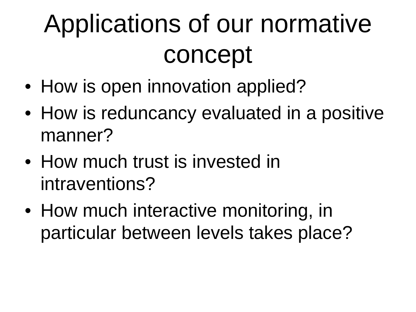# Applications of our normative concept

- How is open innovation applied?
- How is reduncancy evaluated in a positive manner?
- How much trust is invested in intraventions?
- How much interactive monitoring, in particular between levels takes place?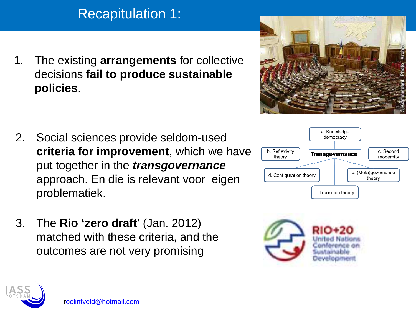### Recapitulation 1:

1. The existing **arrangements** for collective decisions **fail to produce sustainable policies**.

- 2. Social sciences provide seldom-used **criteria for improvement**, which we have put together in the **transgovernance** approach. En die is relevant voor eigen problematiek.
- 3. The **Rio 'zero draft**' (Jan. 2012) matched with these criteria, and the outcomes are not very promising